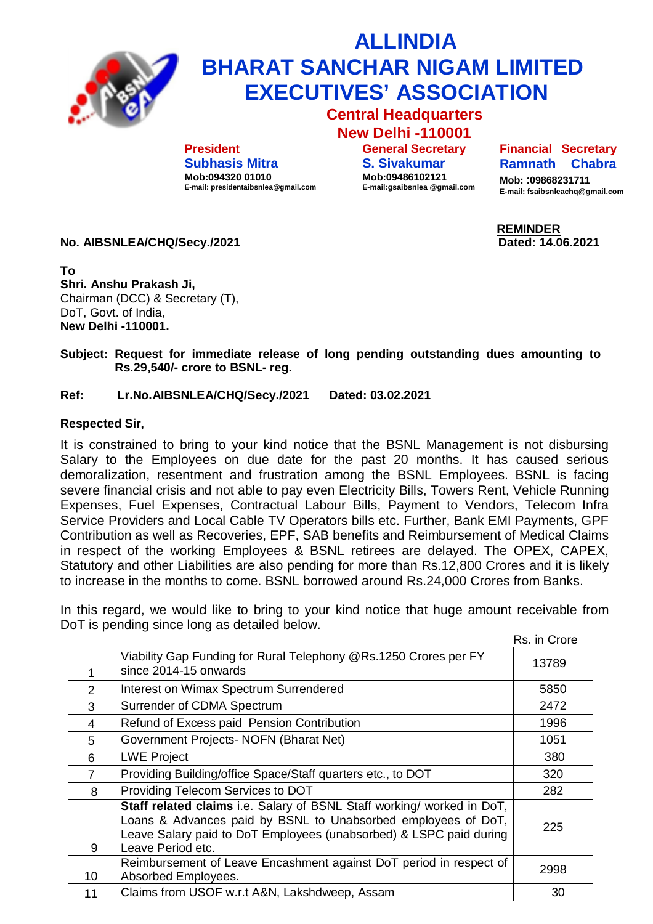

## **ALLINDIA BHARAT SANCHAR NIGAM LIMITED EXECUTIVES' ASSOCIATION**

**Central Headquarters New Delhi -110001**

**President Subhasis Mitra Mob:094320 01010 E-mail: [presidentaibsnlea@gmail.com](mailto:presidentaibsnlea@gmail.com)**

**General Secretary S. Sivakumar Mob:09486102121 E-mail:gsaibsnlea [@gmail.com](mailto:@gmail.com)** **Financial Secretary Ramnath Chabra** 

**Mob:** :**09868231711 E-mail: [fsaibsnleachq@gmail.com](mailto:fsaibsnleachq@gmail.com)**

 **REMINDER**

**No. AIBSNLEA/CHQ/Secy./2021 Dated: 14.06.2021**

**To Shri. Anshu Prakash Ji,** Chairman (DCC) & Secretary (T), DoT, Govt. of India, **New Delhi -110001.**

**Subject: Request for immediate release of long pending outstanding dues amounting to Rs.29,540/- crore to BSNL- reg.**

## **Ref: Lr.No.AIBSNLEA/CHQ/Secy./2021 Dated: 03.02.2021**

## **Respected Sir,**

It is constrained to bring to your kind notice that the BSNL Management is not disbursing Salary to the Employees on due date for the past 20 months. It has caused serious demoralization, resentment and frustration among the BSNL Employees. BSNL is facing severe financial crisis and not able to pay even Electricity Bills, Towers Rent, Vehicle Running Expenses, Fuel Expenses, Contractual Labour Bills, Payment to Vendors, Telecom Infra Service Providers and Local Cable TV Operators bills etc. Further, Bank EMI Payments, GPF Contribution as well as Recoveries, EPF, SAB benefits and Reimbursement of Medical Claims in respect of the working Employees & BSNL retirees are delayed. The OPEX, CAPEX, Statutory and other Liabilities are also pending for more than Rs.12,800 Crores and it is likely to increase in the months to come. BSNL borrowed around Rs.24,000 Crores from Banks.

In this regard, we would like to bring to your kind notice that huge amount receivable from DoT is pending since long as detailed below.

 Rs. in Crore 1 Viability Gap Funding for Rural Telephony [@Rs.1250](mailto:@Rs.1250) Crores per FY since 2014-15 onwards 13789 2 | Interest on Wimax Spectrum Surrendered 1997 | 5850 3 Surrender of CDMA Spectrum 2472 4 Refund of Excess paid Pension Contribution 1996 5 Government Projects- NOFN (Bharat Net) 1051 6 LWE Project 380 7 Providing Building/office Space/Staff quarters etc., to DOT 320 8 Providing Telecom Services to DOT 282 9 **Staff related claims** i.e. Salary of BSNL Staff working/ worked in DoT, Loans & Advances paid by BSNL to Unabsorbed employees of DoT, Leave Salary paid to DoT Employees (unabsorbed) & LSPC paid during Leave Period etc. 225 10 Reimbursement of Leave Encashment against DoT period in respect of Absorbed Employees. <sup>2998</sup> 11 | Claims from USOF w.r.t A&N, Lakshdweep, Assam  $\sim$  30